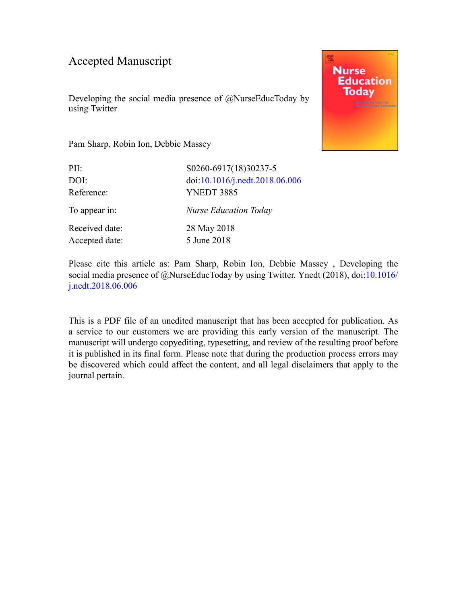### Accepted Manuscript

Developing the social media presence of @NurseEducToday by using Twitter

**Nurse Education Today** International Journal<br>for Health Care Educa

Pam Sharp, Robin Ion, Debbie Massey

| PII:           | S0260-6917(18)30237-5          |
|----------------|--------------------------------|
| DOI:           | doi:10.1016/j.nedt.2018.06.006 |
| Reference:     | <b>YNEDT 3885</b>              |
| To appear in:  | <b>Nurse Education Today</b>   |
| Received date: | 28 May 2018                    |
| Accepted date: | 5 June 2018                    |

Please cite this article as: Pam Sharp, Robin Ion, Debbie Massey , Developing the social media presence of @NurseEducToday by using Twitter. Ynedt (2018), doi:[10.1016/](https://doi.org/10.1016/j.nedt.2018.06.006) [j.nedt.2018.06.006](https://doi.org/10.1016/j.nedt.2018.06.006)

This is a PDF file of an unedited manuscript that has been accepted for publication. As a service to our customers we are providing this early version of the manuscript. The manuscript will undergo copyediting, typesetting, and review of the resulting proof before it is published in its final form. Please note that during the production process errors may be discovered which could affect the content, and all legal disclaimers that apply to the journal pertain.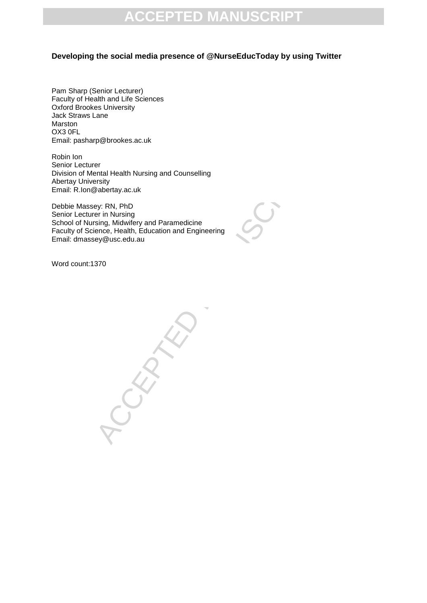#### **Developing the social media presence of @NurseEducToday by using Twitter**

Pam Sharp (Senior Lecturer) Faculty of Health and Life Sciences Oxford Brookes University Jack Straws Lane Marston OX3 0FL Email: pasharp@brookes.ac.uk

Robin Ion Senior Lecturer Division of Mental Health Nursing and Counselling Abertay University Email: R.Ion@abertay.ac.uk

Debbie Massey: RN, PhD Senior Lecturer in Nursing School of Nursing, Midwifery and Paramedicine Faculty of Science, Health, Education and Engineering Email: dmassey@usc.edu.au



Word count:1370

CEPTED MANUSCRIPT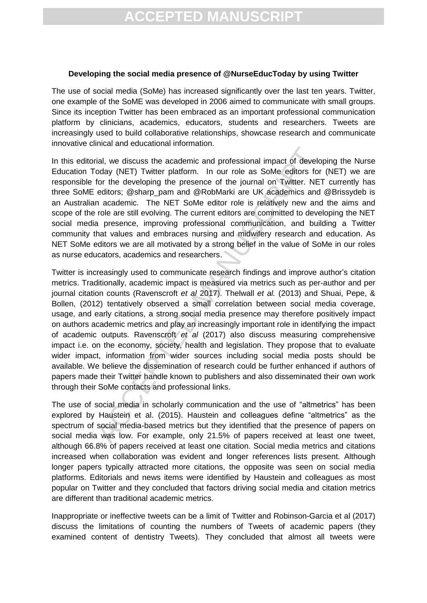#### **Developing the social media presence of @NurseEducToday by using Twitter**

The use of social media (SoMe) has increased significantly over the last ten years. Twitter, one example of the SoME was developed in 2006 aimed to communicate with small groups. Since its inception Twitter has been embraced as an important professional communication platform by clinicians, academics, educators, students and researchers. Tweets are increasingly used to build collaborative relationships, showcase research and communicate innovative clinical and educational information.

In this editorial, we discuss the academic and professional impact of developing the Nurse Education Today (NET) Twitter platform. In our role as SoMe editors for (NET) we are responsible for the developing the presence of the journal on Twitter. NET currently has three SoME editors; @sharp\_pam and @RobMarki are UK academics and @Brissydeb is an Australian academic. The NET SoMe editor role is relatively new and the aims and scope of the role are still evolving. The current editors are committed to developing the NET social media presence, improving professional communication, and building a Twitter community that values and embraces nursing and midwifery research and education. As NET SoMe editors we are all motivated by a strong belief in the value of SoMe in our roles as nurse educators, academics and researchers.

iral, we discuss the academic and professional impact of developday (NET) Twitter platform. In our role as SoMe editors for for the developing the presence of the journal on Twitter. NET editors; @sharp\_pam and @RobMarki Twitter is increasingly used to communicate research findings and improve author's citation metrics. Traditionally, academic impact is measured via metrics such as per-author and per journal citation counts (Ravenscroft *et al* 2017). Thelwall *et al.* (2013) and Shuai, Pepe, & Bollen, (2012) tentatively observed a small correlation between social media coverage, usage, and early citations, a strong social media presence may therefore positively impact on authors academic metrics and play an increasingly important role in identifying the impact of academic outputs. Ravenscroft *et al* (2017) also discuss measuring comprehensive impact i.e. on the economy, society, health and legislation. They propose that to evaluate wider impact, information from wider sources including social media posts should be available. We believe the dissemination of research could be further enhanced if authors of papers made their Twitter handle known to publishers and also disseminated their own work through their SoMe contacts and professional links.

The use of social media in scholarly communication and the use of "altmetrics" has been explored by Haustein et al. (2015). Haustein and colleagues define "altmetrics" as the spectrum of social media-based metrics but they identified that the presence of papers on social media was low. For example, only 21.5% of papers received at least one tweet, although 66.8% of papers received at least one citation. Social media metrics and citations increased when collaboration was evident and longer references lists present. Although longer papers typically attracted more citations, the opposite was seen on social media platforms. Editorials and news items were identified by Haustein and colleagues as most popular on Twitter and they concluded that factors driving social media and citation metrics are different than traditional academic metrics.

Inappropriate or ineffective tweets can be a limit of Twitter and Robinson-Garcia et al (2017) discuss the limitations of counting the numbers of Tweets of academic papers (they examined content of dentistry Tweets). They concluded that almost all tweets were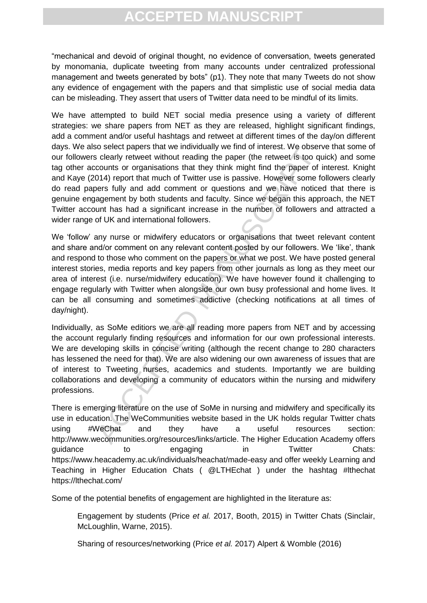"mechanical and devoid of original thought, no evidence of conversation, tweets generated by monomania, duplicate tweeting from many accounts under centralized professional management and tweets generated by bots" (p1). They note that many Tweets do not show any evidence of engagement with the papers and that simplistic use of social media data can be misleading. They assert that users of Twitter data need to be mindful of its limits.

We have attempted to build NET social media presence using a variety of different strategies: we share papers from NET as they are released, highlight significant findings, add a comment and/or useful hashtags and retweet at different times of the day/on different days. We also select papers that we individually we find of interest. We observe that some of our followers clearly retweet without reading the paper (the retweet is too quick) and some tag other accounts or organisations that they think might find the paper of interest. Knight and Kaye (2014) report that much of Twitter use is passive. However some followers clearly do read papers fully and add comment or questions and we have noticed that there is genuine engagement by both students and faculty. Since we began this approach, the NET Twitter account has had a significant increase in the number of followers and attracted a wider range of UK and international followers.

is electry papers that we individually we min of interest. We observe than the second to selectry permutted in the paper (the retweet is too quents or organisations that they think might find the paper of interactions or o We 'follow' any nurse or midwifery educators or organisations that tweet relevant content and share and/or comment on any relevant content posted by our followers. We 'like', thank and respond to those who comment on the papers or what we post. We have posted general interest stories, media reports and key papers from other journals as long as they meet our area of interest (i.e. nurse/midwifery education). We have however found it challenging to engage regularly with Twitter when alongside our own busy professional and home lives. It can be all consuming and sometimes addictive (checking notifications at all times of day/night).

Individually, as SoMe editiors we are all reading more papers from NET and by accessing the account regularly finding resources and information for our own professional interests. We are developing skills in concise writing (although the recent change to 280 characters has lessened the need for that). We are also widening our own awareness of issues that are of interest to Tweeting nurses, academics and students. Importantly we are building collaborations and developing a community of educators within the nursing and midwifery professions.

There is emerging literature on the use of SoMe in nursing and midwifery and specifically its use in education. The WeCommunities website based in the UK holds regular Twitter chats using #WeChat and they have a useful resources section: http://www.wecommunities.org/resources/links/article. The Higher Education Academy offers guidance to engaging in Twitter Chats: https://www.heacademy.ac.uk/individuals/heachat/made-easy and offer weekly Learning and Teaching in Higher Education Chats ( @LTHEchat ) under the hashtag #lthechat https://lthechat.com/

Some of the potential benefits of engagement are highlighted in the literature as:

Engagement by students (Price *et al.* 2017, Booth, 2015) in Twitter Chats (Sinclair, McLoughlin, Warne, 2015).

Sharing of resources/networking (Price *et al.* 2017) Alpert & Womble (2016)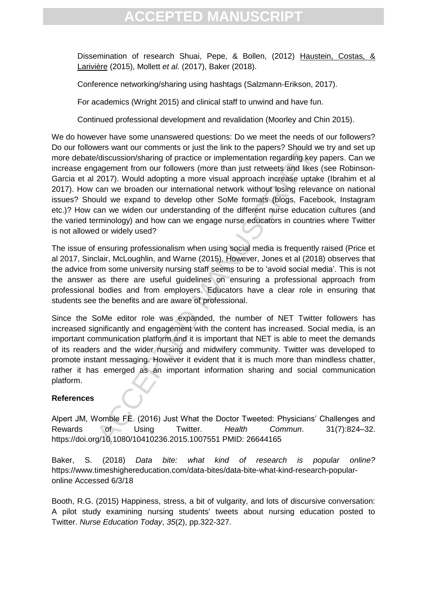Dissemination of research Shuai, Pepe, & Bollen, (2012) Haustein, Costas, & Larivière (2015), Mollett *et al.* (2017), Baker (2018).

Conference networking/sharing using hashtags (Salzmann‐Erikson, 2017).

For academics (Wright 2015) and clinical staff to unwind and have fun.

Continued professional development and revalidation (Moorley and Chin 2015).

wers want our comments or just the link to the papers? Should were were want our different of paper and the stagement from our followers (more than just retweets and likes (2017). Would adopting a more visual approach incr We do however have some unanswered questions: Do we meet the needs of our followers? Do our followers want our comments or just the link to the papers? Should we try and set up more debate/discussion/sharing of practice or implementation regarding key papers. Can we increase engagement from our followers (more than just retweets and likes (see Robinson-Garcia et al 2017). Would adopting a more visual approach increase uptake (Ibrahim et al 2017). How can we broaden our international network without losing relevance on national issues? Should we expand to develop other SoMe formats (blogs, Facebook, Instagram etc.)? How can we widen our understanding of the different nurse education cultures (and the varied terminology) and how can we engage nurse educators in countries where Twitter is not allowed or widely used?

The issue of ensuring professionalism when using social media is frequently raised (Price et al 2017, Sinclair, McLoughlin, and Warne (2015). However, Jones et al (2018) observes that the advice from some university nursing staff seems to be to 'avoid social media'. This is not the answer as there are useful guidelines on ensuring a professional approach from professional bodies and from employers. Educators have a clear role in ensuring that students see the benefits and are aware of professional.

Since the SoMe editor role was expanded, the number of NET Twitter followers has increased significantly and engagement with the content has increased. Social media, is an important communication platform and it is important that NET is able to meet the demands of its readers and the wider nursing and midwifery community. Twitter was developed to promote instant messaging. However it evident that it is much more than mindless chatter, rather it has emerged as an important information sharing and social communication platform.

### **References**

Alpert JM, Womble FE. (2016) Just What the Doctor Tweeted: Physicians' Challenges and Rewards of Using Twitter. *Health Commun*. 31(7):824–32. https://doi.org/10.1080/10410236.2015.1007551 PMID: 26644165

Baker, S. (2018) *Data bite: what kind of research is popular online?* https://www.timeshighereducation.com/data-bites/data-bite-what-kind-research-popularonline Accessed 6/3/18

Booth, R.G. (2015) Happiness, stress, a bit of vulgarity, and lots of discursive conversation: A pilot study examining nursing students' tweets about nursing education posted to Twitter. *Nurse Education Today*, *35*(2), pp.322-327.